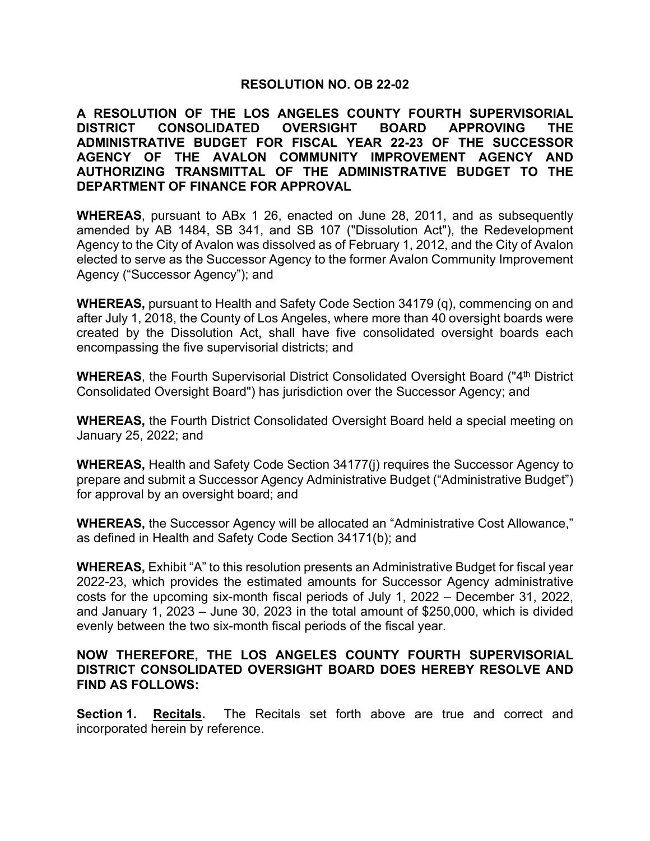### **RESOLUTION NO. OB 22-02**

**A RESOLUTION OF THE LOS ANGELES COUNTY FOURTH SUPERVISORIAL DISTRICT CONSOLIDATED OVERSIGHT BOARD APPROVING THE ADMINISTRATIVE BUDGET FOR FISCAL YEAR 22-23 OF THE SUCCESSOR AGENCY OF THE AVALON COMMUNITY IMPROVEMENT AGENCY AND AUTHORIZING TRANSMITTAL OF THE ADMINISTRATIVE BUDGET TO THE DEPARTMENT OF FINANCE FOR APPROVAL**

**WHEREAS**, pursuant to ABx 1 26, enacted on June 28, 2011, and as subsequently amended by AB 1484, SB 341, and SB 107 ("Dissolution Act"), the Redevelopment Agency to the City of Avalon was dissolved as of February 1, 2012, and the City of Avalon elected to serve as the Successor Agency to the former Avalon Community Improvement Agency ("Successor Agency"); and

**WHEREAS,** pursuant to Health and Safety Code Section 34179 (q), commencing on and after July 1, 2018, the County of Los Angeles, where more than 40 oversight boards were created by the Dissolution Act, shall have five consolidated oversight boards each encompassing the five supervisorial districts; and

**WHEREAS**, the Fourth Supervisorial District Consolidated Oversight Board ("4<sup>th</sup> District Consolidated Oversight Board") has jurisdiction over the Successor Agency; and

**WHEREAS,** the Fourth District Consolidated Oversight Board held a special meeting on January 25, 2022; and

**WHEREAS,** Health and Safety Code Section 34177(j) requires the Successor Agency to prepare and submit a Successor Agency Administrative Budget ("Administrative Budget") for approval by an oversight board; and

**WHEREAS,** the Successor Agency will be allocated an "Administrative Cost Allowance," as defined in Health and Safety Code Section 34171(b); and

**WHEREAS,** Exhibit "A" to this resolution presents an Administrative Budget for fiscal year 2022-23, which provides the estimated amounts for Successor Agency administrative costs for the upcoming six-month fiscal periods of July 1, 2022 – December 31, 2022, and January 1, 2023 – June 30, 2023 in the total amount of \$250,000, which is divided evenly between the two six-month fiscal periods of the fiscal year.

# **NOW THEREFORE, THE LOS ANGELES COUNTY FOURTH SUPERVISORIAL DISTRICT CONSOLIDATED OVERSIGHT BOARD DOES HEREBY RESOLVE AND FIND AS FOLLOWS:**

**Section 1. Recitals.** The Recitals set forth above are true and correct and incorporated herein by reference.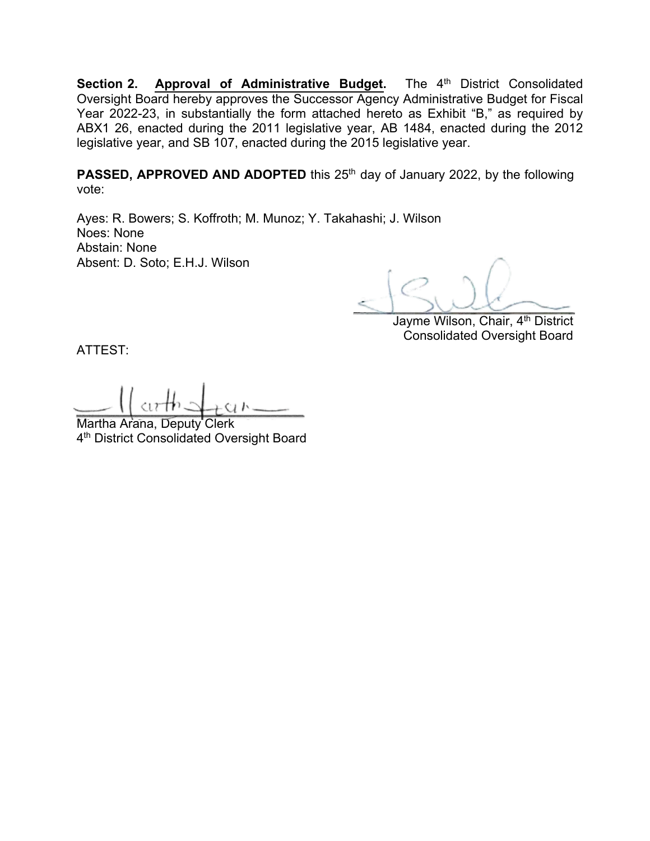Section 2. Approval of Administrative Budget. The 4<sup>th</sup> District Consolidated Oversight Board hereby approves the Successor Agency Administrative Budget for Fiscal Year 2022-23, in substantially the form attached hereto as Exhibit "B," as required by ABX1 26, enacted during the 2011 legislative year, AB 1484, enacted during the 2012 legislative year, and SB 107, enacted during the 2015 legislative year.

**PASSED, APPROVED AND ADOPTED** this 25<sup>th</sup> day of January 2022, by the following vote:

Ayes: R. Bowers; S. Koffroth; M. Munoz; Y. Takahashi; J. Wilson Noes: None Abstain: None Absent: D. Soto; E.H.J. Wilson

 $\leq$  )  $\cup$   $\vee$ 

Jayme Wilson, Chair, 4<sup>th</sup> District Consolidated Oversight Board

ATTEST:

 $-1$   $\alpha$   $\alpha$   $\beta$   $\beta$   $\alpha$   $\beta$ 

Martha Arana, Deputy Clerk 4<sup>th</sup> District Consolidated Oversight Board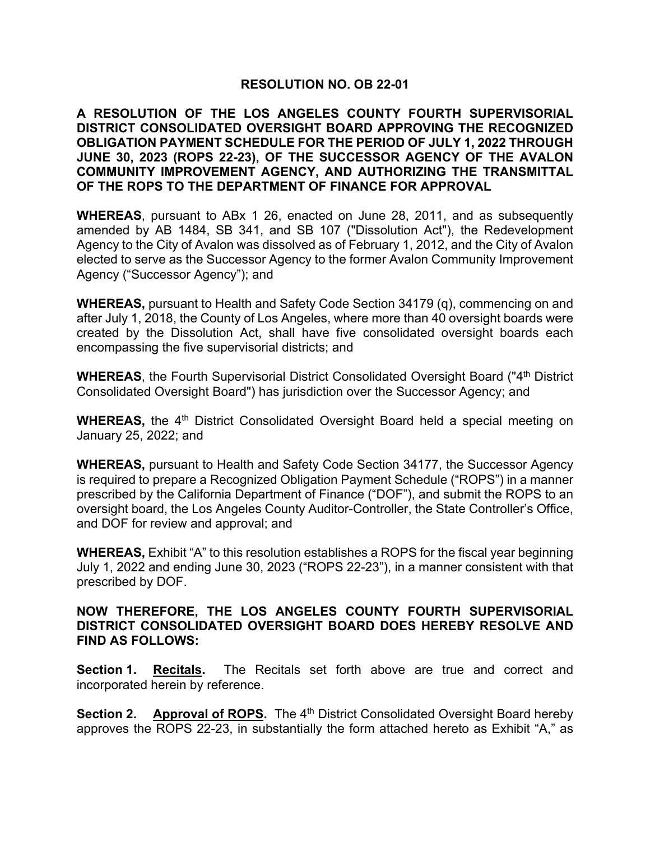### **RESOLUTION NO. OB 22-01**

**A RESOLUTION OF THE LOS ANGELES COUNTY FOURTH SUPERVISORIAL DISTRICT CONSOLIDATED OVERSIGHT BOARD APPROVING THE RECOGNIZED OBLIGATION PAYMENT SCHEDULE FOR THE PERIOD OF JULY 1, 2022 THROUGH JUNE 30, 2023 (ROPS 22-23), OF THE SUCCESSOR AGENCY OF THE AVALON COMMUNITY IMPROVEMENT AGENCY, AND AUTHORIZING THE TRANSMITTAL OF THE ROPS TO THE DEPARTMENT OF FINANCE FOR APPROVAL**

**WHEREAS**, pursuant to ABx 1 26, enacted on June 28, 2011, and as subsequently amended by AB 1484, SB 341, and SB 107 ("Dissolution Act"), the Redevelopment Agency to the City of Avalon was dissolved as of February 1, 2012, and the City of Avalon elected to serve as the Successor Agency to the former Avalon Community Improvement Agency ("Successor Agency"); and

**WHEREAS,** pursuant to Health and Safety Code Section 34179 (q), commencing on and after July 1, 2018, the County of Los Angeles, where more than 40 oversight boards were created by the Dissolution Act, shall have five consolidated oversight boards each encompassing the five supervisorial districts; and

**WHEREAS**, the Fourth Supervisorial District Consolidated Oversight Board ("4<sup>th</sup> District Consolidated Oversight Board") has jurisdiction over the Successor Agency; and

**WHEREAS,** the 4<sup>th</sup> District Consolidated Oversight Board held a special meeting on January 25, 2022; and

**WHEREAS,** pursuant to Health and Safety Code Section 34177, the Successor Agency is required to prepare a Recognized Obligation Payment Schedule ("ROPS") in a manner prescribed by the California Department of Finance ("DOF"), and submit the ROPS to an oversight board, the Los Angeles County Auditor-Controller, the State Controller's Office, and DOF for review and approval; and

**WHEREAS,** Exhibit "A" to this resolution establishes a ROPS for the fiscal year beginning July 1, 2022 and ending June 30, 2023 ("ROPS 22-23"), in a manner consistent with that prescribed by DOF.

### **NOW THEREFORE, THE LOS ANGELES COUNTY FOURTH SUPERVISORIAL DISTRICT CONSOLIDATED OVERSIGHT BOARD DOES HEREBY RESOLVE AND FIND AS FOLLOWS:**

**Section 1. Recitals.** The Recitals set forth above are true and correct and incorporated herein by reference.

**Section 2.** Approval of ROPS. The 4<sup>th</sup> District Consolidated Oversight Board hereby approves the ROPS 22-23, in substantially the form attached hereto as Exhibit "A," as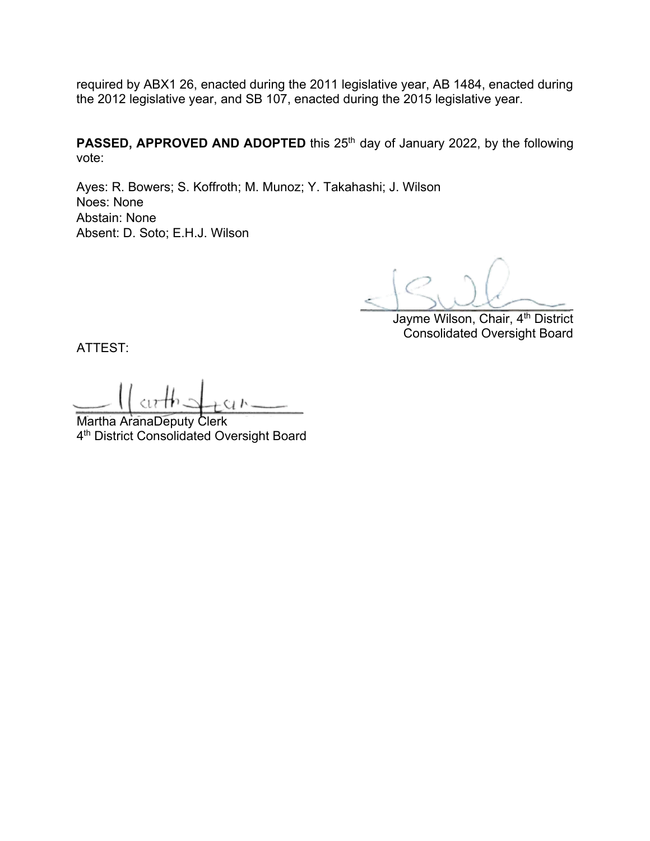required by ABX1 26, enacted during the 2011 legislative year, AB 1484, enacted during the 2012 legislative year, and SB 107, enacted during the 2015 legislative year.

**PASSED, APPROVED AND ADOPTED** this 25<sup>th</sup> day of January 2022, by the following vote:

Ayes: R. Bowers; S. Koffroth; M. Munoz; Y. Takahashi; J. Wilson Noes: None Abstain: None Absent: D. Soto; E.H.J. Wilson

 $\leq$  we

Jayme Wilson, Chair, 4<sup>th</sup> District Consolidated Oversight Board

ATTEST:

 $\sim$   $\frac{1}{2}$   $\frac{1}{2}$   $\frac{1}{2}$   $\frac{1}{2}$   $\frac{1}{2}$   $\frac{1}{2}$   $\frac{1}{2}$   $\frac{1}{2}$ 

Martha AranaDeputy Clerk 4<sup>th</sup> District Consolidated Oversight Board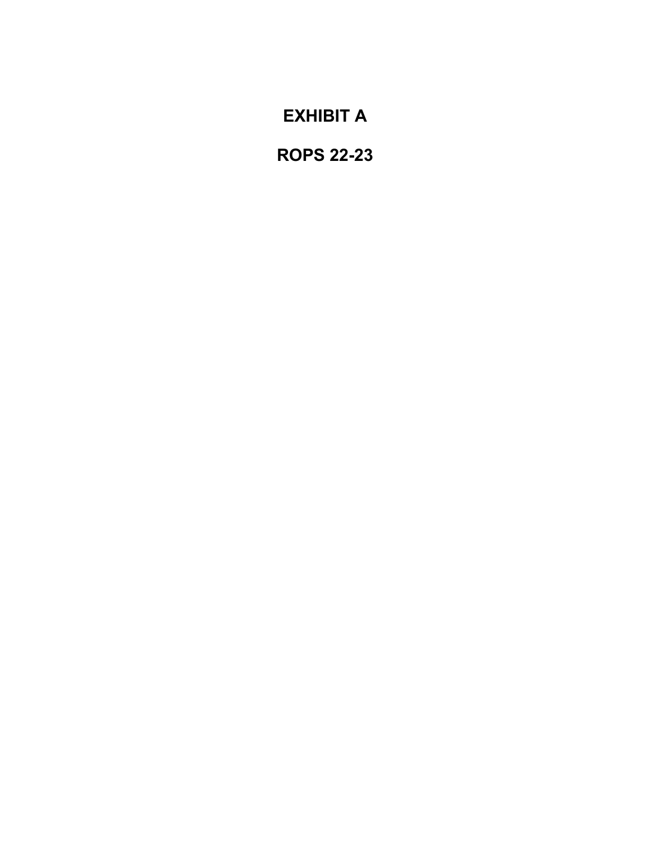# **EXHIBIT A**

**ROPS 22-23**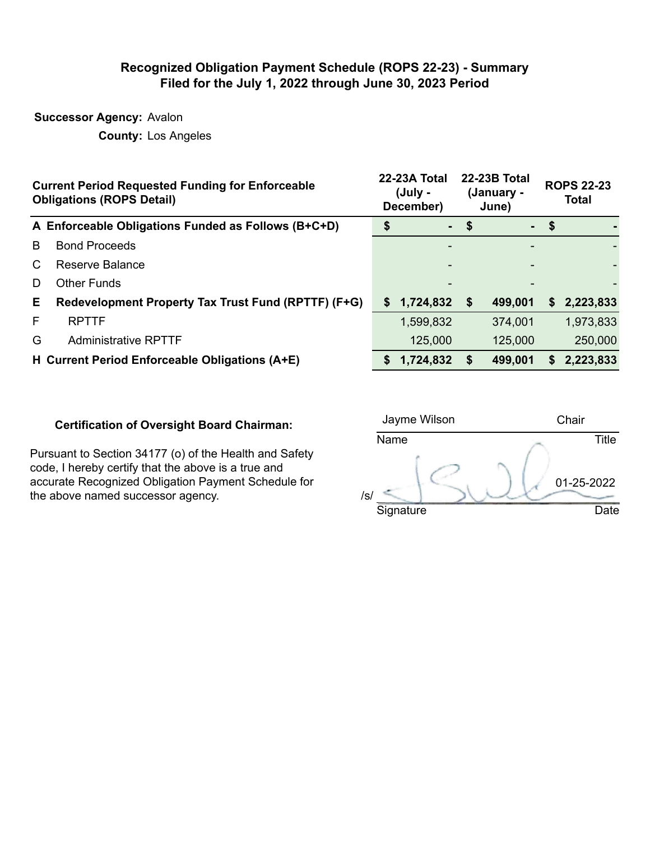## **Recognized Obligation Payment Schedule (ROPS 22-23) - Summary Filed for the July 1, 2022 through June 30, 2023 Period**

**Successor Agency:** Avalon

**County:** Los Angeles

|    | <b>Current Period Requested Funding for Enforceable</b><br><b>Obligations (ROPS Detail)</b> |    | 22-23A Total<br>(July -<br>December) |    | <b>22-23B Total</b><br>(January -<br>June) |        | <b>ROPS 22-23</b><br><b>Total</b> |
|----|---------------------------------------------------------------------------------------------|----|--------------------------------------|----|--------------------------------------------|--------|-----------------------------------|
|    | A Enforceable Obligations Funded as Follows (B+C+D)                                         |    | $\sim$                               | \$ |                                            | $-$ \$ |                                   |
| B  | <b>Bond Proceeds</b>                                                                        |    |                                      |    |                                            |        |                                   |
| C  | Reserve Balance                                                                             |    |                                      |    |                                            |        |                                   |
| D  | <b>Other Funds</b>                                                                          |    |                                      |    |                                            |        |                                   |
| Е. | Redevelopment Property Tax Trust Fund (RPTTF) (F+G)                                         |    | \$1,724,832                          | \$ | 499,001                                    | S.     | 2,223,833                         |
| F  | <b>RPTTF</b>                                                                                |    | 1,599,832                            |    | 374,001                                    |        | 1,973,833                         |
| G  | <b>Administrative RPTTF</b>                                                                 |    | 125,000                              |    | 125,000                                    |        | 250,000                           |
|    | H Current Period Enforceable Obligations (A+E)                                              | S. | 1,724,832                            | S  | 499,001                                    | S.     | 2,223,833                         |

### **Certification of Oversight Board Chairman:**

Pursuant to Section 34177 (o) of the Health and Safety code, I hereby certify that the above is a true and accurate Recognized Obligation Payment Schedule for the above named successor agency.  $/$  /s/

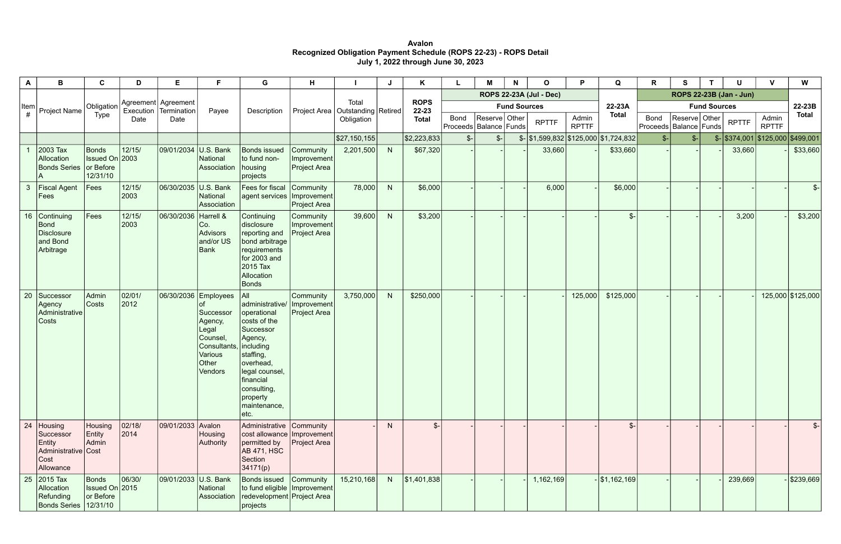**Avalon Recognized Obligation Payment Schedule (ROPS 22-23) - ROPS Detail July 1, 2022 through June 30, 2023** 

| A            | B                                                                               | $\mathbf c$                          | D               | Е                                    | F                                                                                                                | G                                                                                                                                                                                                      | H.                                              |              |   | Κ                    |                                           | м                              | $\mathbf N$ | $\mathbf{o}$                                         | P                     | Q                   | R                       | S                                           |  | U                                                | $\mathbf{V}$          | W                 |
|--------------|---------------------------------------------------------------------------------|--------------------------------------|-----------------|--------------------------------------|------------------------------------------------------------------------------------------------------------------|--------------------------------------------------------------------------------------------------------------------------------------------------------------------------------------------------------|-------------------------------------------------|--------------|---|----------------------|-------------------------------------------|--------------------------------|-------------|------------------------------------------------------|-----------------------|---------------------|-------------------------|---------------------------------------------|--|--------------------------------------------------|-----------------------|-------------------|
|              |                                                                                 |                                      |                 |                                      |                                                                                                                  |                                                                                                                                                                                                        |                                                 |              |   |                      |                                           | <b>ROPS 22-23A (Jul - Dec)</b> |             |                                                      |                       |                     | ROPS 22-23B (Jan - Jun) |                                             |  |                                                  |                       |                   |
| ltem<br>#    | Project Name                                                                    | Obligation                           | Execution       | Agreement   Agreement<br>Termination | Payee                                                                                                            | Description                                                                                                                                                                                            | Project Area   Outstanding   Retired            | Total        |   | <b>ROPS</b><br>22-23 |                                           | <b>Fund Sources</b>            |             |                                                      | 22-23A                | <b>Fund Sources</b> |                         |                                             |  |                                                  | 22-23B                |                   |
|              |                                                                                 | Type                                 | Date            | Date                                 |                                                                                                                  |                                                                                                                                                                                                        |                                                 | Obligation   |   | <b>Total</b>         | <b>Bond</b><br>Proceeds   Balance   Funds | Reserve   Other                |             | <b>RPTTF</b>                                         | Admin<br><b>RPTTF</b> | <b>Total</b>        | <b>Bond</b>             | Reserve Other<br>Proceeds   Balance   Funds |  | <b>RPTTF</b>                                     | Admin<br><b>RPTTF</b> | <b>Total</b>      |
|              |                                                                                 |                                      |                 |                                      |                                                                                                                  |                                                                                                                                                                                                        |                                                 | \$27,150,155 |   | \$2,223,833          | $S-$                                      | $\frac{2}{2}$                  |             | $\frac{1}{2}$ \\$1,599,832 \\$125,000 \\$1,724,832 \ |                       |                     | $s-$                    | $S-$                                        |  | $\frac{16}{10}$ \\$374,001 \\$125,000 \\$499,001 |                       |                   |
|              | 2003 Tax<br>Allocation<br>Bonds Series or Before                                | Bonds<br>Issued On 2003<br>12/31/10  | 12/15/          | 09/01/2034 U.S. Bank                 | National<br>Association                                                                                          | <b>Bonds issued</b><br>to fund non-<br>housing<br>projects                                                                                                                                             | Community<br>Improvement<br><b>Project Area</b> | 2,201,500    | N | \$67,320             |                                           |                                |             | 33,660                                               |                       | \$33,660            |                         |                                             |  | 33,660                                           |                       | \$33,660          |
| $\mathbf{3}$ | <b>Fiscal Agent</b><br>$\vert$ Fees                                             | Fees                                 | 12/15/<br>2003  | 06/30/2035 U.S. Bank                 | National<br>Association                                                                                          | Fees for fiscal<br>agent services   Improvement                                                                                                                                                        | Community<br><b>Project Area</b>                | 78,000       | N | \$6,000              |                                           |                                |             | 6,000                                                |                       | \$6,000             |                         |                                             |  |                                                  |                       | $S-$              |
|              | 16 Continuing<br>Bond<br>Disclosure<br>and Bond<br>Arbitrage                    | $\vert$ Fees                         | 12/15/<br>2003  | 06/30/2036 Harrell &                 | Co.<br>Advisors<br>and/or US<br>Bank                                                                             | Continuing<br>disclosure<br>reporting and<br>bond arbitrage<br>requirements<br>for 2003 and<br>2015 Tax<br>Allocation<br>Bonds                                                                         | Community<br>Improvement<br><b>Project Area</b> | 39,600       | N | \$3,200              |                                           |                                |             |                                                      |                       | $\frac{2}{2}$       |                         |                                             |  | 3,200                                            |                       | \$3,200           |
| 20           | Successor<br>Agency<br>Administrative<br>Costs                                  | Admin<br> Costs                      | 02/01/<br>2012  |                                      | 06/30/2036 Employees<br>Successor<br>Agency,<br>Legal<br>Counsel,<br>Consultants,<br>Various<br>Other<br>Vendors | All<br>administrative/<br>operational<br>costs of the<br>Successor<br>Agency,<br>including<br>staffing,<br>overhead,<br>legal counsel,<br>financial<br>consulting,<br>property<br>maintenance,<br>etc. | Community<br>Improvement<br><b>Project Area</b> | 3,750,000    | N | \$250,000            |                                           |                                |             |                                                      | 125,000               | \$125,000           |                         |                                             |  |                                                  |                       | 125,000 \$125,000 |
|              | 24   Housing<br>Successor<br>Entity<br>Administrative Cost<br>Cost<br>Allowance | Housing<br>Entity<br>Admin           | 02/18/<br> 2014 | 09/01/2033 Avalon                    | Housing<br>Authority                                                                                             | Administrative Community<br>cost allowance   Improvement<br>permitted by<br><b>AB 471, HSC</b><br>Section<br>34171(p)                                                                                  | <b>Project Area</b>                             |              | N | $\mathcal{S}$ -      |                                           |                                |             |                                                      |                       | $\frac{2}{2}$       |                         |                                             |  |                                                  |                       | $\frac{2}{2}$     |
|              | 25 2015 Tax<br>Allocation<br>Refunding<br>Bonds Series 12/31/10                 | Bonds<br>Issued On 2015<br>or Before | 06/30/          | 09/01/2033 U.S. Bank                 | National<br>Association                                                                                          | Bonds issued<br>to fund eligible   Improvement<br>redevelopment Project Area<br>$ $ projects                                                                                                           | Community                                       | 15,210,168   | N | \$1,401,838          |                                           |                                |             | 1,162,169                                            |                       | $-$ \$1,162,169     |                         |                                             |  | 239,669                                          |                       | \$239,669         |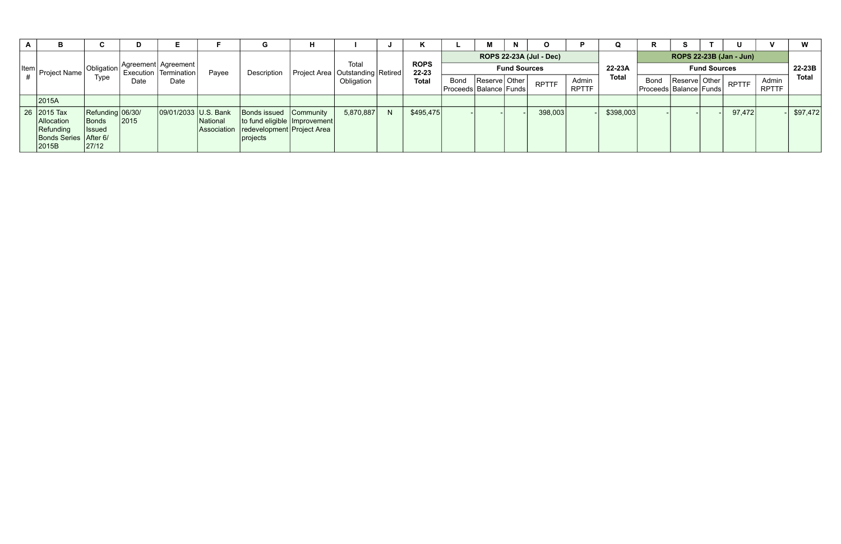|  |                                                                                   |                                                            | D    |                         |                         |                                                                                                      | н           |                                      |              |              |                                 |                                | $\mathbf N$         |              |                       |              | ĸ                       |                                                 |        | U            |                       | W            |
|--|-----------------------------------------------------------------------------------|------------------------------------------------------------|------|-------------------------|-------------------------|------------------------------------------------------------------------------------------------------|-------------|--------------------------------------|--------------|--------------|---------------------------------|--------------------------------|---------------------|--------------|-----------------------|--------------|-------------------------|-------------------------------------------------|--------|--------------|-----------------------|--------------|
|  |                                                                                   |                                                            |      |                         |                         |                                                                                                      |             |                                      |              |              |                                 | <b>ROPS 22-23A (Jul - Dec)</b> |                     |              |                       |              | ROPS 22-23B (Jan - Jun) |                                                 |        |              |                       |              |
|  | $\left \frac{\text{Item}}{\mu}\right $ Project Name                               | Obligation                                                 |      | Execution   Termination | Agreement   Agreement   | Payee                                                                                                | Description | Project Area   Outstanding   Retired | Total        |              | <b>ROPS</b><br>22-23            |                                | <b>Fund Sources</b> | 22-23A       | <b>Fund Sources</b>   |              |                         |                                                 | 22-23B |              |                       |              |
|  |                                                                                   | Type                                                       | Date | Date                    |                         |                                                                                                      |             | Obligation                           |              | <b>Total</b> | Bond<br> Proceeds Balance Funds | Reserve   Other                |                     | <b>RPTTF</b> | Admin<br><b>RPTTF</b> | <b>Total</b> | Bond                    | Reserve   Other  <br>Proceeds   Balance   Funds |        | <b>RPTTF</b> | Admin<br><b>RPTTF</b> | <b>Total</b> |
|  | 2015A                                                                             |                                                            |      |                         |                         |                                                                                                      |             |                                      |              |              |                                 |                                |                     |              |                       |              |                         |                                                 |        |              |                       |              |
|  | 26 2015 Tax<br>Allocation<br><b>Refunding</b><br>Bonds Series   After 6/<br>2015B | Refunding 06/30/<br><b>Bonds</b><br><b>Issued</b><br>27/12 | 2015 | 09/01/2033 U.S. Bank    | National<br>Association | Bonds issued Community<br>to fund eligible   Improvement  <br>redevelopment Project Area<br>projects |             | 5,870,887                            | <sup>N</sup> | \$495,475    |                                 |                                |                     | 398,003      |                       | \$398,003    |                         |                                                 |        | 97,472       |                       | \$97,472     |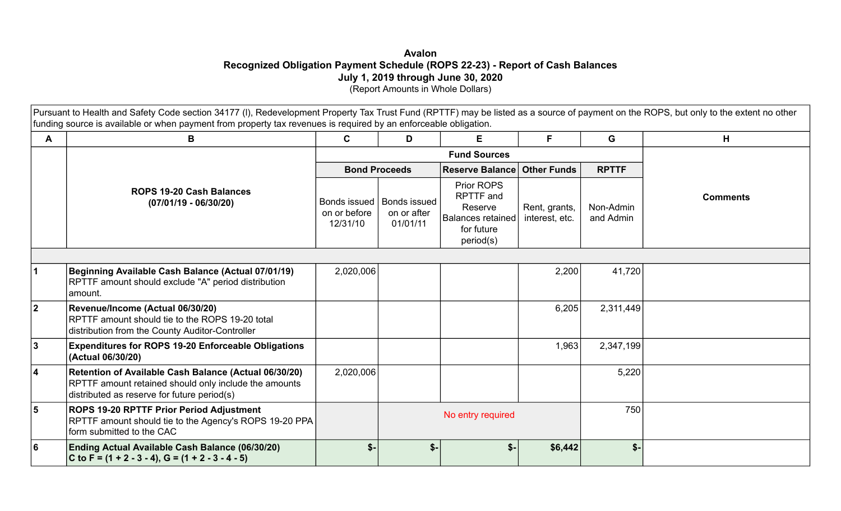# **Avalon Recognized Obligation Payment Schedule (ROPS 22-23) - Report of Cash Balances July 1, 2019 through June 30, 2020**  (Report Amounts in Whole Dollars)

Pursuant to Health and Safety Code section 34177 (I), Redevelopment Property Tax Trust Fund (RPTTF) may be listed as a source of payment on the ROPS, but only to the extent no other funding source is available or when payment from property tax revenues is required by an enforceable obligation.

| A                       | B                                                                                                                                                             | E<br>$\mathbf c$<br>D                    |                                                |                                                                                           | F                               | G                      | H               |  |
|-------------------------|---------------------------------------------------------------------------------------------------------------------------------------------------------------|------------------------------------------|------------------------------------------------|-------------------------------------------------------------------------------------------|---------------------------------|------------------------|-----------------|--|
|                         |                                                                                                                                                               |                                          |                                                |                                                                                           |                                 |                        |                 |  |
|                         |                                                                                                                                                               |                                          | <b>Bond Proceeds</b>                           | <b>Reserve Balance Other Funds</b>                                                        |                                 | <b>RPTTF</b>           |                 |  |
|                         | <b>ROPS 19-20 Cash Balances</b><br>$(07/01/19 - 06/30/20)$                                                                                                    | Bonds issued<br>on or before<br>12/31/10 | <b>Bonds issued</b><br>on or after<br>01/01/11 | Prior ROPS<br><b>RPTTF</b> and<br>Reserve<br>Balances retained<br>for future<br>period(s) | Rent, grants,<br>interest, etc. | Non-Admin<br>and Admin | <b>Comments</b> |  |
|                         |                                                                                                                                                               |                                          |                                                |                                                                                           |                                 |                        |                 |  |
|                         | Beginning Available Cash Balance (Actual 07/01/19)<br>RPTTF amount should exclude "A" period distribution<br> amount.                                         | 2,020,006                                |                                                |                                                                                           | 2,200                           | 41,720                 |                 |  |
| 2                       | Revenue/Income (Actual 06/30/20)<br>RPTTF amount should tie to the ROPS 19-20 total<br>distribution from the County Auditor-Controller                        |                                          |                                                |                                                                                           | 6,205                           | 2,311,449              |                 |  |
| 3                       | <b>Expenditures for ROPS 19-20 Enforceable Obligations</b><br>(Actual 06/30/20)                                                                               |                                          |                                                |                                                                                           | 1,963                           | 2,347,199              |                 |  |
| 4                       | Retention of Available Cash Balance (Actual 06/30/20)<br>RPTTF amount retained should only include the amounts<br>distributed as reserve for future period(s) | 2,020,006                                |                                                |                                                                                           |                                 | 5,220                  |                 |  |
| $\overline{\mathbf{5}}$ | <b>ROPS 19-20 RPTTF Prior Period Adjustment</b><br>RPTTF amount should tie to the Agency's ROPS 19-20 PPA<br>form submitted to the CAC                        |                                          |                                                | No entry required                                                                         |                                 | 750                    |                 |  |
| 6                       | Ending Actual Available Cash Balance (06/30/20)<br>$ C$ to F = (1 + 2 - 3 - 4), G = (1 + 2 - 3 - 4 - 5)                                                       | $$-$                                     | $S-$                                           | $$-$                                                                                      | \$6,442                         | $$-$                   |                 |  |